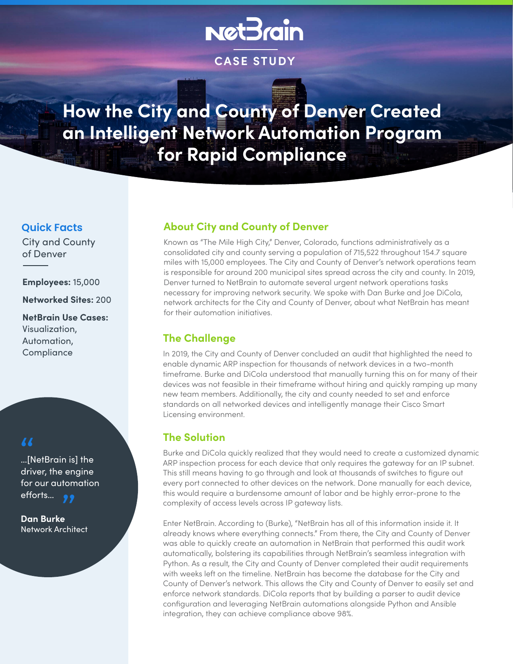# **NetBrain**

**CASE STUDY**

**How the City and County of Denver Created an Intelligent Network Automation Program for Rapid Compliance**

## **Quick Facts**

City and County of Denver

**Employees:** 15,000

**Networked Sites:** 200

**NetBrain Use Cases:** Visualization, Automation, **Compliance** 

…[NetBrain is] the driver, the engine for our automation efforts...  $\frac{1}{\sqrt{N}}$ "

**Dan Burke** Network Architect

# **About City and County of Denver**

Known as "The Mile High City," Denver, Colorado, functions administratively as a consolidated city and county serving a population of 715,522 throughout 154.7 square miles with 15,000 employees. The City and County of Denver's network operations team is responsible for around 200 municipal sites spread across the city and county. In 2019, Denver turned to NetBrain to automate several urgent network operations tasks necessary for improving network security. We spoke with Dan Burke and Joe DiCola, network architects for the City and County of Denver, about what NetBrain has meant for their automation initiatives.

# **The Challenge**

In 2019, the City and County of Denver concluded an audit that highlighted the need to enable dynamic ARP inspection for thousands of network devices in a two-month timeframe. Burke and DiCola understood that manually turning this on for many of their devices was not feasible in their timeframe without hiring and quickly ramping up many new team members. Additionally, the city and county needed to set and enforce standards on all networked devices and intelligently manage their Cisco Smart Licensing environment.

# **The Solution**

Burke and DiCola quickly realized that they would need to create a customized dynamic ARP inspection process for each device that only requires the gateway for an IP subnet. This still means having to go through and look at thousands of switches to figure out every port connected to other devices on the network. Done manually for each device, this would require a burdensome amount of labor and be highly error-prone to the complexity of access levels across IP gateway lists.

Enter NetBrain. According to (Burke), "NetBrain has all of this information inside it. It already knows where everything connects." From there, the City and County of Denver was able to quickly create an automation in NetBrain that performed this audit work automatically, bolstering its capabilities through NetBrain's seamless integration with Python. As a result, the City and County of Denver completed their audit requirements with weeks left on the timeline. NetBrain has become the database for the City and County of Denver's network. This allows the City and County of Denver to easily set and enforce network standards. DiCola reports that by building a parser to audit device configuration and leveraging NetBrain automations alongside Python and Ansible integration, they can achieve compliance above 98%.